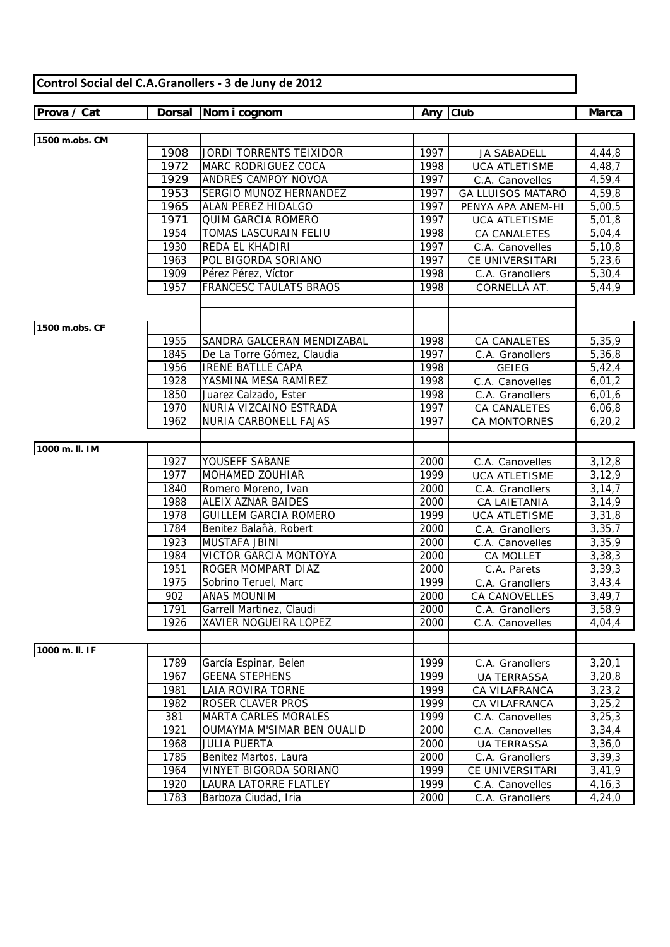| Prova / Cat    | <b>Dorsal</b> | Nom i cognom                  | Any  | Club                     | <b>Marca</b>           |
|----------------|---------------|-------------------------------|------|--------------------------|------------------------|
|                |               |                               |      |                          |                        |
| 1500 m.obs. CM |               |                               |      |                          |                        |
|                | 1908          | JORDI TORRENTS TEIXIDOR       | 1997 | <b>JA SABADELL</b>       | 4,44,8                 |
|                | 1972          | MARC RODRIGUEZ COCA           | 1998 | <b>UCA ATLETISME</b>     | 4,48,7                 |
|                | 1929          | ANDRÉS CAMPOY NOVOA           | 1997 | C.A. Canovelles          | 4,59,4                 |
|                | 1953          | SERGIO MUÑOZ HERNANDEZ        | 1997 | <b>GA LLUISOS MATARÓ</b> | 4,59,8                 |
|                | 1965          | ALAN PEREZ HIDALGO            | 1997 | PENYA APA ANEM-HI        | 5,00,5                 |
|                | 1971          | <b>QUIM GARCIA ROMERO</b>     | 1997 | <b>UCA ATLETISME</b>     | 5,01,8                 |
|                | 1954          | TOMAS LASCURAIN FELIU         | 1998 | CA CANALETES             | 5,04,4                 |
|                | 1930          | REDA EL KHADIRI               | 1997 | C.A. Canovelles          | 5, 10, 8               |
|                | 1963          | POL BIGORDA SORIANO           | 1997 | CE UNIVERSITARI          | 5,23,6                 |
|                | 1909          | Pérez Pérez, Víctor           | 1998 | C.A. Granollers          | 5,30,4                 |
|                | 1957          | <b>FRANCESC TAULATS BRAOS</b> | 1998 | CORNELLÀ AT.             | 5,44,9                 |
|                |               |                               |      |                          |                        |
|                |               |                               |      |                          |                        |
| 1500 m.obs. CF |               |                               |      |                          |                        |
|                | 1955          | SANDRA GALCERAN MENDIZABAL    | 1998 | CA CANALETES             | 5,35,9                 |
|                | 1845          | De La Torre Gómez, Claudia    | 1997 | C.A. Granollers          | 5,36,8                 |
|                | 1956          | <b>IRENE BATLLE CAPA</b>      | 1998 | <b>GEIEG</b>             | 5,42,4                 |
|                | 1928          | YASMINA MESA RAMÍREZ          | 1998 | C.A. Canovelles          | 6,01,2                 |
|                | 1850          | Juarez Calzado, Ester         | 1998 | C.A. Granollers          | 6,01,6                 |
|                | 1970          | NURIA VIZCAINO ESTRADA        | 1997 | CA CANALETES             | 6,06,8                 |
|                | 1962          | NURIA CARBONELL FAJAS         | 1997 | <b>CA MONTORNES</b>      | 6, 20, 2               |
|                |               |                               |      |                          |                        |
| 1000 m. II. IM |               |                               |      |                          |                        |
|                | 1927          | YOUSEFF SABANE                | 2000 | C.A. Canovelles          | 3,12,8                 |
|                | 1977          | MOHAMED ZOUHIAR               | 1999 | <b>UCA ATLETISME</b>     | 3, 12, 9               |
|                | 1840          | Romero Moreno, Ivan           | 2000 | C.A. Granollers          | 3, 14, 7               |
|                | 1988          | ALEIX AZNAR BAIDES            | 2000 | CA LAIETANIA             | 3, 14, 9               |
|                | 1978          | <b>GUILLEM GARCIA ROMERO</b>  | 1999 | <b>UCA ATLETISME</b>     | 3,31,8                 |
|                | 1784          | Benitez Balañà, Robert        | 2000 | C.A. Granollers          | 3,35,7                 |
|                | 1923          | <b>MUSTAFA JBINI</b>          | 2000 | C.A. Canovelles          | 3,35,9                 |
|                | 1984          | <b>VICTOR GARCIA MONTOYA</b>  | 2000 | CA MOLLET                | 3,38,3                 |
|                | 1951          | ROGER MOMPART DIAZ            | 2000 | C.A. Parets              | $\overline{3}$ , 39, 3 |
|                | 1975          | Sobrino Teruel, Marc          | 1999 | C.A. Granollers          | 3,43,4                 |
|                | 902           | <b>ANAS MOUNIM</b>            | 2000 | <b>CA CANOVELLES</b>     | 3,49,7                 |
|                | 1791          | Garrell Martinez, Claudi      | 2000 | C.A. Granollers          | 3,58,9                 |
|                | 1926          | XAVIER NOGUEIRA LÓPEZ         | 2000 | C.A. Canovelles          | 4,04,4                 |
|                |               |                               |      |                          |                        |
| 1000 m. II. IF |               |                               |      |                          |                        |
|                | 1789          | García Espinar, Belen         | 1999 | C.A. Granollers          | 3,20,1                 |
|                | 1967          | <b>GEENA STEPHENS</b>         | 1999 | <b>UA TERRASSA</b>       | 3,20,8                 |
|                | 1981          | LAIA ROVIRA TORNE             | 1999 | CA VILAFRANCA            | 3,23,2                 |
|                | 1982          | ROSER CLAVER PROS             | 1999 | CA VILAFRANCA            | 3,25,2                 |
|                | 381           | MARTA CARLES MORALES          | 1999 | C.A. Canovelles          | 3,25,3                 |
|                | 1921          | OUMAYMA M'SIMAR BEN OUALID    | 2000 | C.A. Canovelles          | 3,34,4                 |
|                | 1968          | <b>JULIA PUERTA</b>           | 2000 | <b>UA TERRASSA</b>       | 3,36,0                 |
|                | 1785          | Benitez Martos, Laura         | 2000 | C.A. Granollers          | 3,39,3                 |
|                | 1964          | <b>VINYET BIGORDA SORIANO</b> | 1999 | CE UNIVERSITARI          | 3,41,9                 |
|                | 1920          | LAURA LATORRE FLATLEY         | 1999 | C.A. Canovelles          | 4,16,3                 |
|                | 1783          | Barboza Ciudad, Iria          | 2000 | C.A. Granollers          | 4,24,0                 |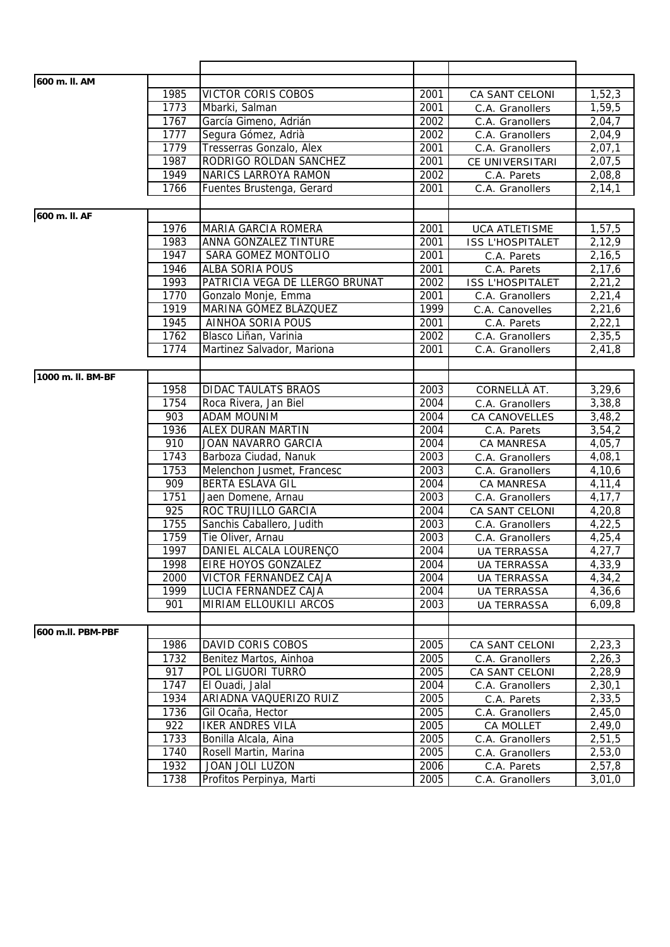| 600 m. II. AM     |              |                                |      |                                    |          |
|-------------------|--------------|--------------------------------|------|------------------------------------|----------|
|                   | 1985         | VICTOR CORIS COBOS             | 2001 | CA SANT CELONI                     | 1,52,3   |
|                   | 1773         | Mbarki, Salman                 | 2001 | C.A. Granollers                    | 1,59,5   |
|                   | 1767         | García Gimeno, Adrián          | 2002 | C.A. Granollers                    | 2,04,7   |
|                   | 1777         | Segura Gómez, Adrià            | 2002 | C.A. Granollers                    | 2,04,9   |
|                   | 1779         | Tresserras Gonzalo, Alex       | 2001 | C.A. Granollers                    | 2,07,1   |
|                   | 1987         | RODRIGO ROLDAN SANCHEZ         | 2001 | CE UNIVERSITARI                    | 2,07,5   |
|                   | 1949         | <b>NARICS LARROYA RAMON</b>    | 2002 | C.A. Parets                        | 2,08,8   |
|                   | 1766         | Fuentes Brustenga, Gerard      | 2001 | C.A. Granollers                    | 2, 14, 1 |
|                   |              |                                |      |                                    |          |
| 600 m. II. AF     |              |                                |      |                                    |          |
|                   | 1976         | MARIA GARCIA ROMERA            | 2001 | <b>UCA ATLETISME</b>               | 1,57,5   |
|                   | 1983         | ANNA GONZALEZ TINTURE          | 2001 | <b>ISS L'HOSPITALET</b>            | 2,12,9   |
|                   | 1947         | SARA GOMEZ MONTOLIO            | 2001 | C.A. Parets                        | 2,16,5   |
|                   | 1946         | ALBA SORIA POUS                | 2001 | C.A. Parets                        | 2,17,6   |
|                   | 1993         | PATRICIA VEGA DE LLERGO BRUNAT | 2002 | <b>ISS L'HOSPITALET</b>            | 2,21,2   |
|                   | 1770         | Gonzalo Monje, Emma            | 2001 | C.A. Granollers                    | 2,21,4   |
|                   | 1919         | MARINA GÓMEZ BLÁZQUEZ          | 1999 | C.A. Canovelles                    | 2,21,6   |
|                   | 1945         | <b>AINHOA SORIA POUS</b>       | 2001 | C.A. Parets                        | 2,22,1   |
|                   | 1762         | Blasco Liñan, Varinia          | 2002 |                                    | 2,35,5   |
|                   | 1774         | Martinez Salvador, Mariona     | 2001 | C.A. Granollers<br>C.A. Granollers |          |
|                   |              |                                |      |                                    | 2,41,8   |
| 1000 m. II. BM-BF |              |                                |      |                                    |          |
|                   |              |                                |      |                                    |          |
|                   | 1958<br>1754 | <b>DIDAC TAULATS BRAOS</b>     | 2003 | CORNELLÀ AT.                       | 3,29,6   |
|                   | 903          | Roca Rivera, Jan Biel          | 2004 | C.A. Granollers                    | 3,38,8   |
|                   |              | <b>ADAM MOUNIM</b>             | 2004 | CA CANOVELLES                      | 3,48,2   |
|                   | 1936         | ALEX DURAN MARTIN              | 2004 | C.A. Parets                        | 3,54,2   |
|                   | 910          | JOAN NAVARRO GARCIA            | 2004 | CA MANRESA                         | 4,05,7   |
|                   | 1743         | Barboza Ciudad, Nanuk          | 2003 | C.A. Granollers                    | 4,08,1   |
|                   | 1753         | Melenchon Jusmet, Francesc     | 2003 | C.A. Granollers                    | 4,10,6   |
|                   | 909          | <b>BERTA ESLAVA GIL</b>        | 2004 | CA MANRESA                         | 4,11,4   |
|                   | 1751<br>925  | Jaen Domene, Arnau             | 2003 | C.A. Granollers                    | 4,17,7   |
|                   | 1755         | ROC TRUJILLO GARCIA            | 2004 | CA SANT CELONI                     | 4,20,8   |
|                   |              | Sanchis Caballero, Judith      | 2003 | C.A. Granollers                    | 4,22,5   |
|                   | 1759         | Tie Oliver, Arnau              | 2003 | C.A. Granollers                    | 4,25,4   |
|                   | 1997         | DANIEL ALCALA LOURENÇO         | 2004 | <b>UA TERRASSA</b>                 | 4,27,7   |
|                   | 1998         | EIRE HOYOS GONZALEZ            | 2004 | <b>UA TERRASSA</b>                 | 4,33,9   |
|                   | 2000         | VICTOR FERNANDEZ CAJA          | 2004 | <b>UA TERRASSA</b>                 | 4,34,2   |
|                   | 1999         | LUCIA FERNANDEZ CAJA           | 2004 | <b>UA TERRASSA</b>                 | 4,36,6   |
|                   | 901          | MIRIAM ELLOUKILI ARCOS         | 2003 | <b>UA TERRASSA</b>                 | 6,09,8   |
|                   |              |                                |      |                                    |          |
| 600 m.II. PBM-PBF |              |                                |      |                                    |          |
|                   | 1986         | DAVID CORIS COBOS              | 2005 | CA SANT CELONI                     | 2, 23, 3 |
|                   | 1732         | Benitez Martos, Ainhoa         | 2005 | C.A. Granollers                    | 2,26,3   |
|                   | 917          | POL LIGUORI TURRÓ              | 2005 | CA SANT CELONI                     | 2,28,9   |
|                   | 1747         | El Ouadi, Jalal                | 2004 | C.A. Granollers                    | 2,30,1   |
|                   | 1934         | ARIADNA VAQUERIZO RUIZ         | 2005 | C.A. Parets                        | 2,33,5   |
|                   | 1736         | Gil Ocaña, Hector              | 2005 | C.A. Granollers                    | 2,45,0   |
|                   | 922          | IKER ANDRES VILA               | 2005 | CA MOLLET                          | 2,49,0   |
|                   | 1733         | Bonilla Alcala, Aina           | 2005 | C.A. Granollers                    | 2,51,5   |
|                   | 1740         | Rosell Martin, Marina          | 2005 | C.A. Granollers                    | 2,53,0   |
|                   | 1932         | JOAN JOLI LUZON                | 2006 | C.A. Parets                        | 2,57,8   |
|                   | 1738         | Profitos Perpinya, Marti       | 2005 | C.A. Granollers                    | 3,01,0   |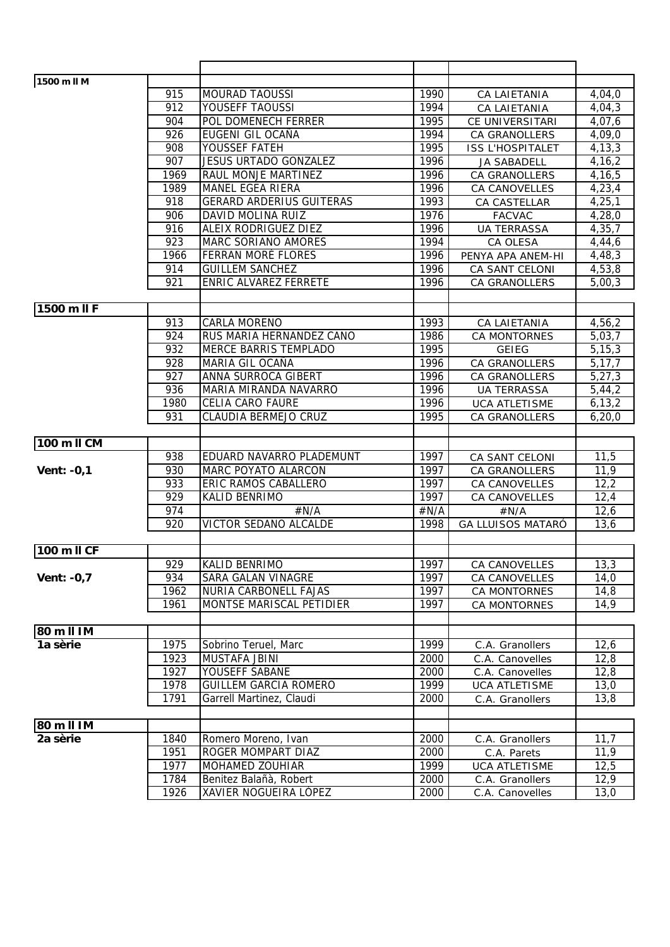| 1500 m II M       |                  |                                 |      |                          |          |
|-------------------|------------------|---------------------------------|------|--------------------------|----------|
|                   | 915              | <b>MOURAD TAOUSSI</b>           | 1990 | CA LAIETANIA             | 4,04,0   |
|                   | 912              | YOUSEFF TAOUSSI                 | 1994 | CA LAIETANIA             | 4,04,3   |
|                   | 904              | POL DOMENECH FERRER             | 1995 | CE UNIVERSITARI          | 4,07,6   |
|                   | 926              | EUGENI GIL OCAÑA                | 1994 | <b>CA GRANOLLERS</b>     | 4,09,0   |
|                   | 908              | YOUSSEF FATEH                   | 1995 | <b>ISS L'HOSPITALET</b>  | 4, 13, 3 |
|                   | 907              | <b>JESUS URTADO GONZALEZ</b>    | 1996 | <b>JA SABADELL</b>       | 4, 16, 2 |
|                   | 1969             | RAUL MONJE MARTINEZ             | 1996 | <b>CA GRANOLLERS</b>     | 4,16,5   |
|                   | 1989             | <b>MANEL EGEA RIERA</b>         | 1996 | <b>CA CANOVELLES</b>     | 4,23,4   |
|                   | 918              | <b>GERARD ARDERIUS GUITERAS</b> | 1993 | CA CASTELLAR             | 4, 25, 1 |
|                   | 906              | DAVID MOLINA RUIZ               | 1976 | <b>FACVAC</b>            | 4,28,0   |
|                   | 916              | ALEIX RODRIGUEZ DIEZ            | 1996 | <b>UA TERRASSA</b>       | 4,35,7   |
|                   | 923              | MARC SORIANO AMORES             | 1994 | CA OLESA                 | 4,44,6   |
|                   | 1966             | FERRAN MORÉ FLORES              | 1996 | PENYA APA ANEM-HI        | 4,48,3   |
|                   | 914              | <b>GUILLEM SANCHEZ</b>          | 1996 | CA SANT CELONI           | 4,53,8   |
|                   | 921              | ENRIC ALVAREZ FERRETE           | 1996 | <b>CA GRANOLLERS</b>     | 5,00,3   |
|                   |                  |                                 |      |                          |          |
| 1500 m II F       |                  |                                 |      |                          |          |
|                   | 913              | <b>CARLA MORENO</b>             | 1993 | CA LAIETANIA             | 4,56,2   |
|                   | 924              | RUS MARIA HERNANDEZ CANO        | 1986 | <b>CA MONTORNES</b>      | 5,03,7   |
|                   | 932              | <b>MERCE BARRIS TEMPLADO</b>    | 1995 | <b>GEIEG</b>             | 5, 15, 3 |
|                   | 928              | MARIA GIL OCAÑA                 | 1996 | CA GRANOLLERS            | 5,17,7   |
|                   | 927              | ANNA SURROCA GIBERT             | 1996 | CA GRANOLLERS            | 5, 27, 3 |
|                   | 936              | MARIA MIRANDA NAVARRO           | 1996 | <b>UA TERRASSA</b>       | 5,44,2   |
|                   | 1980             | <b>CELIA CARO FAURE</b>         | 1996 | <b>UCA ATLETISME</b>     | 6, 13, 2 |
|                   | 931              | CLAUDIA BERMEJO CRUZ            | 1995 | <b>CA GRANOLLERS</b>     | 6,20,0   |
|                   |                  |                                 |      |                          |          |
| 100 m II CM       |                  |                                 |      |                          |          |
|                   | 938              | EDUARD NAVARRO PLADEMUNT        | 1997 | CA SANT CELONI           | 11,5     |
| <b>Vent: -0,1</b> | 930              | MARC POYATO ALARCON             | 1997 | <b>CA GRANOLLERS</b>     | 11,9     |
|                   | 933              | ERIC RAMOS CABALLERO            | 1997 | <b>CA CANOVELLES</b>     | 12,2     |
|                   | 929              | KALID BENRIMO                   | 1997 | <b>CA CANOVELLES</b>     | 12,4     |
|                   | 974              | #N/A                            | #N/A | #N/A                     | 12,6     |
|                   | $\overline{920}$ | <b>VICTOR SEDANO ALCALDE</b>    | 1998 | <b>GA LLUISOS MATARÓ</b> | 13,6     |
|                   |                  |                                 |      |                          |          |
| 100 m II CF       |                  |                                 |      |                          |          |
|                   | 929              | KALID BENRIMO                   | 1997 | CA CANOVELLES            | 13,3     |
| Vent: $-0,7$      | 934              | SARA GALAN VINAGRE              | 1997 | CA CANOVELLES            | 14,0     |
|                   | 1962             | NURIA CARBONELL FAJAS           | 1997 | CA MONTORNES             | 14,8     |
|                   | 1961             | MONTSE MARISCAL PETIDIER        | 1997 | CA MONTORNES             | 14,9     |
|                   |                  |                                 |      |                          |          |
| 80 m II IM        |                  |                                 |      |                          |          |
| 1a sèrie          | 1975             | Sobrino Teruel, Marc            | 1999 | C.A. Granollers          | 12,6     |
|                   | 1923             | <b>MUSTAFA JBINI</b>            | 2000 | C.A. Canovelles          | 12,8     |
|                   | 1927             | YOUSEFF SABANE                  | 2000 | C.A. Canovelles          | 12,8     |
|                   | 1978             | <b>GUILLEM GARCIA ROMERO</b>    | 1999 | <b>UCA ATLETISME</b>     | 13,0     |
|                   | 1791             | Garrell Martinez, Claudi        | 2000 | C.A. Granollers          | 13,8     |
|                   |                  |                                 |      |                          |          |
| 80 m II IM        |                  |                                 |      |                          |          |
| 2a sèrie          | 1840             | Romero Moreno, Ivan             | 2000 | C.A. Granollers          | 11,7     |
|                   | 1951             | ROGER MOMPART DIAZ              | 2000 | C.A. Parets              | 11,9     |
|                   | 1977             | MOHAMED ZOUHIAR                 | 1999 | <b>UCA ATLETISME</b>     | 12,5     |
|                   | 1784             | Benitez Balañà, Robert          | 2000 | C.A. Granollers          | 12,9     |
|                   | 1926             | <b>XAVIER NOGUEIRA LÓPEZ</b>    | 2000 | C.A. Canovelles          | 13,0     |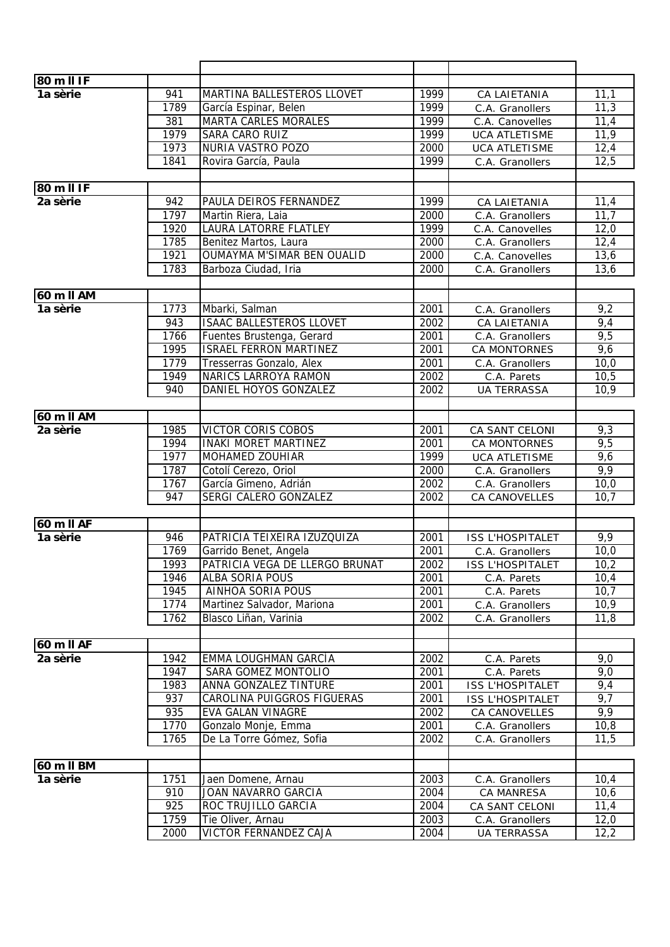| 80 m II IF                          |                  |                                 |      |                            |      |
|-------------------------------------|------------------|---------------------------------|------|----------------------------|------|
| 1a sèrie                            | 941              | MARTINA BALLESTEROS LLOVET      | 1999 | CA LAIETANIA               | 11,1 |
|                                     | 1789             | García Espinar, Belen           | 1999 | C.A. Granollers            | 11,3 |
|                                     | 381              | <b>MARTA CARLES MORALES</b>     | 1999 | C.A. Canovelles            | 11,4 |
|                                     | 1979             | SARA CARO RUIZ                  | 1999 | <b>UCA ATLETISME</b>       | 11,9 |
|                                     | 1973             | NURIA VASTRO POZO               | 2000 | <b>UCA ATLETISME</b>       | 12,4 |
|                                     | 1841             | Rovira García, Paula            | 1999 | C.A. Granollers            | 12,5 |
|                                     |                  |                                 |      |                            |      |
| 80 m II IF                          |                  |                                 |      |                            |      |
| 2a sèrie                            | 942              | PAULA DEIROS FERNANDEZ          | 1999 | CA LAIETANIA               | 11,4 |
|                                     | 1797             | Martin Riera, Laia              | 2000 | C.A. Granollers            | 11,7 |
|                                     | 1920             | LAURA LATORRE FLATLEY           | 1999 | C.A. Canovelles            | 12,0 |
|                                     | 1785             | Benitez Martos, Laura           | 2000 | C.A. Granollers            | 12,4 |
|                                     | 1921             | OUMAYMA M'SIMAR BEN OUALID      | 2000 | C.A. Canovelles            | 13,6 |
|                                     | 1783             | Barboza Ciudad, Iria            | 2000 | C.A. Granollers            | 13,6 |
|                                     |                  |                                 |      |                            |      |
| 60 m II AM                          |                  |                                 |      |                            |      |
| 1a sèrie                            | 1773             | Mbarki, Salman                  | 2001 | C.A. Granollers            | 9,2  |
|                                     | 943              | <b>ISAAC BALLESTEROS LLOVET</b> | 2002 | CA LAIETANIA               | 9,4  |
|                                     | 1766             | Fuentes Brustenga, Gerard       | 2001 | C.A. Granollers            | 9,5  |
|                                     | 1995             | <b>ISRAEL FERRON MARTINEZ</b>   | 2001 | <b>CA MONTORNES</b>        | 9,6  |
|                                     | 1779             | Tresserras Gonzalo, Alex        | 2001 | C.A. Granollers            | 10,0 |
|                                     | 1949             | <b>NARICS LARROYA RAMON</b>     | 2002 | C.A. Parets                | 10,5 |
|                                     | 940              | DANIEL HOYOS GONZALEZ           | 2002 | <b>UA TERRASSA</b>         | 10,9 |
|                                     |                  |                                 |      |                            |      |
| 60 m II AM                          |                  |                                 |      |                            |      |
| 2a sèrie                            | 1985             | <b>VICTOR CORIS COBOS</b>       | 2001 | CA SANT CELONI             | 9,3  |
|                                     | 1994             | <b>INAKI MORET MARTINEZ</b>     | 2001 | CA MONTORNES               | 9,5  |
|                                     | 1977             | <b>MOHAMED ZOUHIAR</b>          | 1999 | <b>UCA ATLETISME</b>       | 9,6  |
|                                     | 1787             | Cotolí Cerezo, Oriol            | 2000 | C.A. Granollers            | 9,9  |
|                                     | 1767             | García Gimeno, Adrián           | 2002 | C.A. Granollers            | 10,0 |
|                                     | 947              | SERGI CALERO GONZALEZ           | 2002 | CA CANOVELLES              | 10,7 |
|                                     |                  |                                 |      |                            |      |
| $60 \overline{m}$ II AF<br>1a sèrie | 946              | PATRICIA TEIXEIRA IZUZQUIZA     | 2001 | <b>ISS L'HOSPITALET</b>    | 9,9  |
|                                     | 1769             | Garrido Benet, Angela           | 2001 | C.A. Granollers            | 10,0 |
|                                     | 1993             | PATRICIA VEGA DE LLERGO BRUNAT  | 2002 | ISS L'HOSPITALET           | 10,2 |
|                                     | 1946             | ALBA SORIA POUS                 | 2001 |                            | 10,4 |
|                                     | 1945             | AINHOA SORIA POUS               | 2001 | C.A. Parets<br>C.A. Parets | 10,7 |
|                                     | 1774             | Martinez Salvador, Mariona      | 2001 | C.A. Granollers            | 10,9 |
|                                     | 1762             | Blasco Liñan, Varinia           | 2002 | C.A. Granollers            | 11,8 |
|                                     |                  |                                 |      |                            |      |
| 60 m II AF                          |                  |                                 |      |                            |      |
| 2a sèrie                            | 1942             | EMMA LOUGHMAN GARCÍA            | 2002 | C.A. Parets                | 9,0  |
|                                     | 1947             | SARA GOMEZ MONTOLIO             | 2001 | C.A. Parets                | 9,0  |
|                                     | 1983             | <b>ANNA GONZALEZ TINTURE</b>    | 2001 | <b>ISS L'HOSPITALET</b>    | 9,4  |
|                                     | 937              | CAROLINA PUIGGROS FIGUERAS      | 2001 | <b>ISS L'HOSPITALET</b>    | 9,7  |
|                                     | 935              | EVA GALAN VINAGRE               | 2002 | CA CANOVELLES              | 9,9  |
|                                     | 1770             | Gonzalo Monje, Emma             | 2001 | C.A. Granollers            | 10,8 |
|                                     | 1765             | De La Torre Gómez, Sofia        | 2002 | C.A. Granollers            | 11,5 |
|                                     |                  |                                 |      |                            |      |
| 60 m II BM                          |                  |                                 |      |                            |      |
| 1a sèrie                            | 1751             | Jaen Domene, Arnau              | 2003 | C.A. Granollers            | 10,4 |
|                                     | 910              | JOAN NAVARRO GARCIA             | 2004 | CA MANRESA                 | 10,6 |
|                                     | $\overline{925}$ | ROC TRUJILLO GARCIA             | 2004 | CA SANT CELONI             | 11,4 |
|                                     | 1759             | Tie Oliver, Arnau               | 2003 | C.A. Granollers            | 12,0 |
|                                     | 2000             | <b>VICTOR FERNANDEZ CAJA</b>    | 2004 | <b>UA TERRASSA</b>         | 12,2 |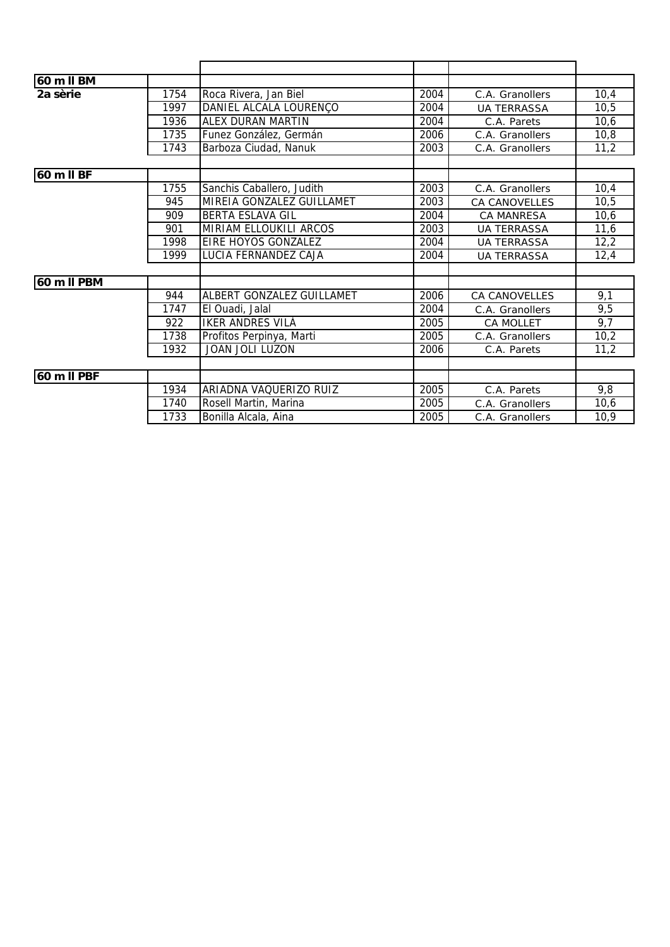| 60 m II BM  |      |                           |      |                      |      |
|-------------|------|---------------------------|------|----------------------|------|
| 2a sèrie    | 1754 | Roca Rivera, Jan Biel     | 2004 | C.A. Granollers      | 10,4 |
|             | 1997 | DANIEL ALCALA LOURENÇO    | 2004 | <b>UA TERRASSA</b>   | 10,5 |
|             | 1936 | <b>ALEX DURAN MARTIN</b>  | 2004 | C.A. Parets          | 10,6 |
|             | 1735 | Funez González, Germán    | 2006 | C.A. Granollers      | 10,8 |
|             | 1743 | Barboza Ciudad, Nanuk     | 2003 | C.A. Granollers      | 11,2 |
|             |      |                           |      |                      |      |
| 60 m II BF  |      |                           |      |                      |      |
|             | 1755 | Sanchis Caballero, Judith | 2003 | C.A. Granollers      | 10,4 |
|             | 945  | MIREIA GONZALEZ GUILLAMET | 2003 | <b>CA CANOVELLES</b> | 10,5 |
|             | 909  | <b>BERTA ESLAVA GIL</b>   | 2004 | <b>CA MANRESA</b>    | 10,6 |
|             | 901  | MIRIAM ELLOUKILI ARCOS    | 2003 | <b>UA TERRASSA</b>   | 11,6 |
|             | 1998 | EIRE HOYOS GONZALEZ       | 2004 | <b>UA TERRASSA</b>   | 12,2 |
|             | 1999 | LUCIA FERNANDEZ CAJA      | 2004 | <b>UA TERRASSA</b>   | 12,4 |
|             |      |                           |      |                      |      |
| 60 m II PBM |      |                           |      |                      |      |
|             | 944  | ALBERT GONZALEZ GUILLAMET | 2006 | <b>CA CANOVELLES</b> | 9,1  |
|             | 1747 | El Ouadi, Jalal           | 2004 | C.A. Granollers      | 9,5  |
|             | 922  | <b>IKER ANDRES VILA</b>   | 2005 | <b>CA MOLLET</b>     | 9,7  |
|             | 1738 | Profitos Perpinya, Marti  | 2005 | C.A. Granollers      | 10,2 |
|             | 1932 | <b>JOAN JOLI LUZON</b>    | 2006 | C.A. Parets          | 11,2 |
|             |      |                           |      |                      |      |
| 60 m II PBF |      |                           |      |                      |      |
|             | 1934 | ARIADNA VAQUERIZO RUIZ    | 2005 | C.A. Parets          | 9,8  |
|             | 1740 | Rosell Martin, Marina     | 2005 | C.A. Granollers      | 10,6 |
|             | 1733 | Bonilla Alcala, Aina      | 2005 | C.A. Granollers      | 10,9 |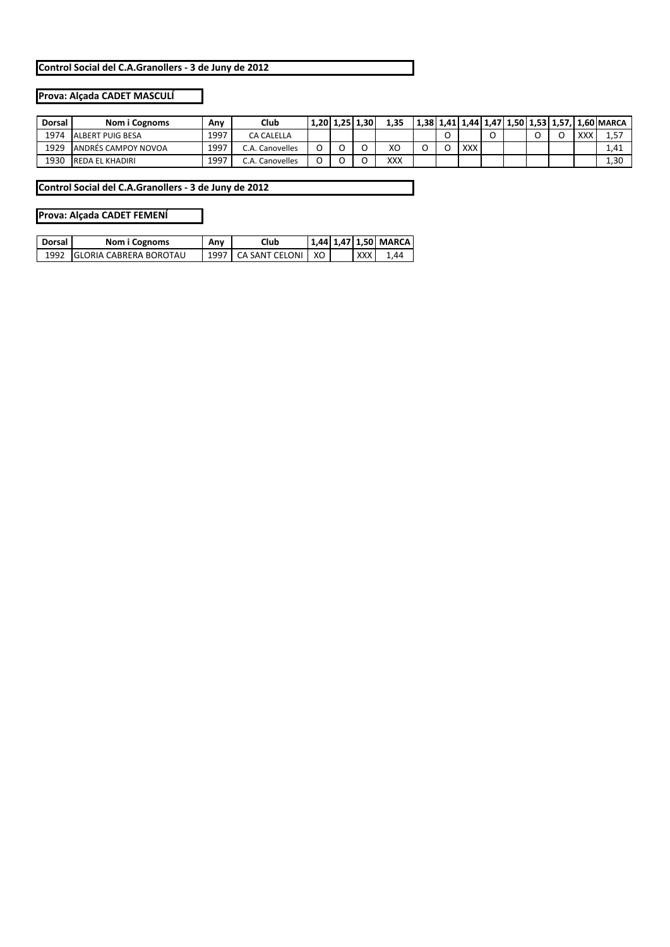## **Prova: Alçada CADET MASCULÍ**

| Dorsal | Nom i Cognoms           | Anv  | Club       |  | 1,20 1,25 1,30 | 1.35       |  |     |  |  |                | 1,38   1,41   1,44   1,47   1,50   1,53   1,57,   1,60   MARCA |
|--------|-------------------------|------|------------|--|----------------|------------|--|-----|--|--|----------------|----------------------------------------------------------------|
| 1974   | <b>ALBERT PUIG BESA</b> | 1997 | CA CALELLA |  |                |            |  |     |  |  | $\vee\vee\vee$ |                                                                |
| 1929   | ANDRÉS CAMPOY NOVOA     | 1997 | Canovelles |  |                | XO         |  | XXX |  |  |                | 1.41                                                           |
| 1930   | <b>REDA EL KHADIRI</b>  | 1997 | Canovelles |  |                | <b>XXX</b> |  |     |  |  |                | 1.30                                                           |

**Control Social del C.A.Granollers ‐ 3 de Juny de 2012**

#### **Prova: Alçada CADET FEMENÍ**

| Dorsal I | Nom i Cognoms                  | Any  | Club               |    |  | 1.44   1.47   1.50   MARCA |
|----------|--------------------------------|------|--------------------|----|--|----------------------------|
| 1992     | <b>IGLORIA CABRERA BOROTAU</b> | 1997 | L CA SANT CELONI L | XO |  | 44                         |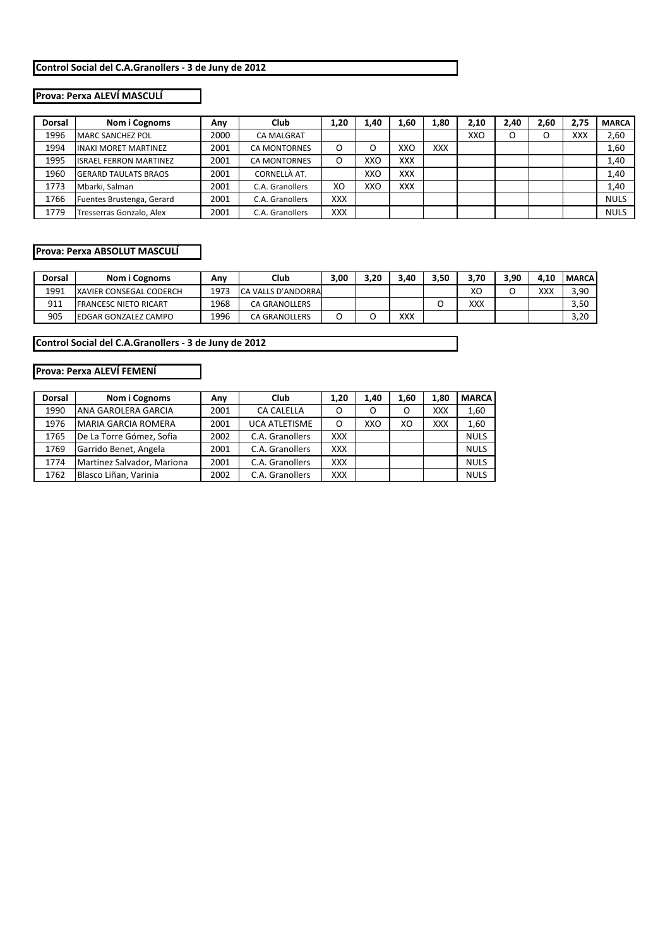## **Prova: Perxa ALEVÍ MASCULÍ**

| <b>Dorsal</b> | Nom i Cognoms                 | Anv  | Club                | 1,20       | 1.40 | 1,60 | 1,80       | 2,10 | 2.40 | 2,60 | 2.75       | <b>MARCA</b> |
|---------------|-------------------------------|------|---------------------|------------|------|------|------------|------|------|------|------------|--------------|
| 1996          | <b>MARC SANCHEZ POL</b>       | 2000 | <b>CA MALGRAT</b>   |            |      |      |            | XXO  |      | O    | <b>XXX</b> | 2,60         |
| 1994          | <b>INAKI MORET MARTINEZ</b>   | 2001 | <b>CA MONTORNES</b> |            | O    | XXO  | <b>XXX</b> |      |      |      |            | 1,60         |
| 1995          | <b>ISRAEL FERRON MARTINEZ</b> | 2001 | <b>CA MONTORNES</b> |            | XXO  | XXX  |            |      |      |      |            | 1,40         |
| 1960          | <b>GERARD TAULATS BRAOS</b>   | 2001 | CORNELLÀ AT.        |            | XXO  | XXX  |            |      |      |      |            | 1,40         |
| 1773          | Mbarki, Salman                | 2001 | C.A. Granollers     | XO         | XXO  | XXX  |            |      |      |      |            | 1,40         |
| 1766          | Fuentes Brustenga, Gerard     | 2001 | C.A. Granollers     | <b>XXX</b> |      |      |            |      |      |      |            | <b>NULS</b>  |
| 1779          | Tresserras Gonzalo, Alex      | 2001 | C.A. Granollers     | <b>XXX</b> |      |      |            |      |      |      |            | <b>NULS</b>  |

#### **Prova: Perxa ABSOLUT MASCULÍ**

| Dorsal | Nom i Cognoms                  | Anv  | Club                 | 3,00 | 3.20 | .40 | 3,50 | 3.70 | 3,90 | 4.10 | <b>MARCA</b> |
|--------|--------------------------------|------|----------------------|------|------|-----|------|------|------|------|--------------|
| 1991   | <b>XAVIER CONSEGAL CODERCH</b> | 1973 | ICA VALLS D'ANDORRA  |      |      |     |      | хc   |      | ххх  | 3,90         |
| 911    | <b>IFRANCESC NIETO RICART</b>  | 1968 | <b>CA GRANOLLERS</b> |      |      |     |      | XXX  |      |      | 3.50         |
| 905    | <b>EDGAR GONZALEZ CAMPO</b>    | 1996 | <b>CA GRANOLLERS</b> | ֊    |      | XXX |      |      |      |      | 3.20         |

**Control Social del C.A.Granollers ‐ 3 de Juny de 2012**

# **Prova: Perxa ALEVÍ FEMENÍ**

| <b>Dorsal</b> | Nom i Cognoms              | Any  | Club                 | 1.20       | 1.40 | 1.60 | 1.80 | <b>MARCA</b> |
|---------------|----------------------------|------|----------------------|------------|------|------|------|--------------|
| 1990          | ANA GAROLERA GARCIA        | 2001 | <b>CA CALELLA</b>    | O          | Ο    | O    | XXX  | 1,60         |
| 1976          | <b>MARIA GARCIA ROMERA</b> | 2001 | <b>UCA ATLETISME</b> | O          | XXO  | XO   | XXX  | 1,60         |
| 1765          | De La Torre Gómez, Sofia   | 2002 | C.A. Granollers      | <b>XXX</b> |      |      |      | <b>NULS</b>  |
| 1769          | Garrido Benet, Angela      | 2001 | C.A. Granollers      | <b>XXX</b> |      |      |      | <b>NULS</b>  |
| 1774          | Martinez Salvador, Mariona | 2001 | C.A. Granollers      | <b>XXX</b> |      |      |      | <b>NULS</b>  |
| 1762          | Blasco Liñan, Varinia      | 2002 | C.A. Granollers      | <b>XXX</b> |      |      |      | <b>NULS</b>  |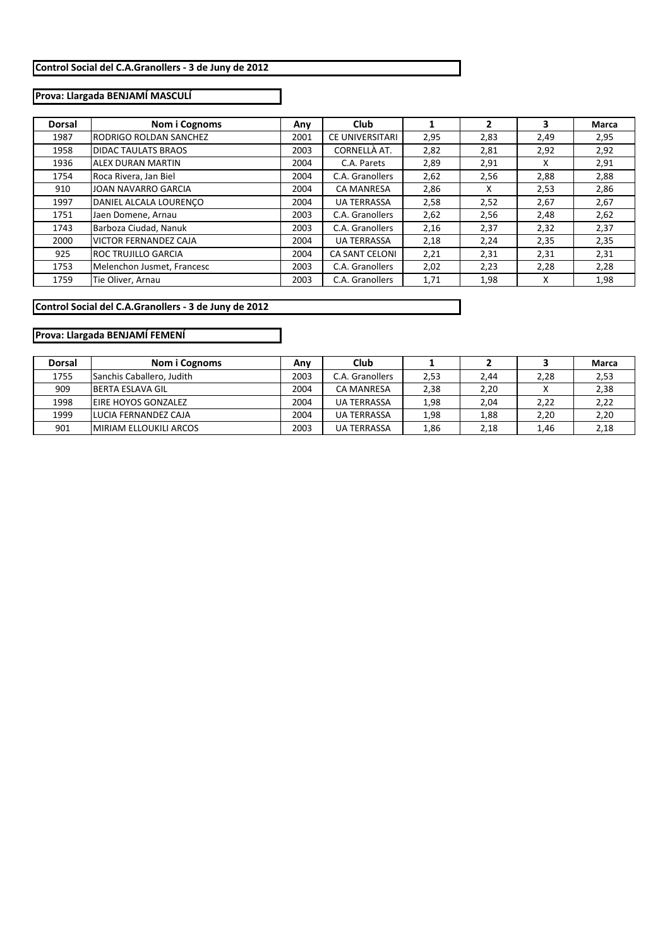# **Prova: Llargada BENJAMÍ MASCULÍ**

| <b>Dorsal</b> | Nom i Cognoms                 | Any  | <b>Club</b>            |      | 2    | 3    | Marca |
|---------------|-------------------------------|------|------------------------|------|------|------|-------|
| 1987          | <b>RODRIGO ROLDAN SANCHEZ</b> | 2001 | <b>CE UNIVERSITARI</b> | 2,95 | 2,83 | 2,49 | 2,95  |
| 1958          | <b>DIDAC TAULATS BRAOS</b>    | 2003 | CORNELLÀ AT.           | 2,82 | 2,81 | 2,92 | 2,92  |
| 1936          | <b>ALEX DURAN MARTIN</b>      | 2004 | C.A. Parets            | 2,89 | 2,91 | x    | 2,91  |
| 1754          | Roca Rivera, Jan Biel         | 2004 | C.A. Granollers        | 2,62 | 2,56 | 2,88 | 2,88  |
| 910           | JOAN NAVARRO GARCIA           | 2004 | <b>CA MANRESA</b>      | 2,86 | x    | 2,53 | 2,86  |
| 1997          | DANIEL ALCALA LOURENCO        | 2004 | <b>UA TERRASSA</b>     | 2,58 | 2,52 | 2,67 | 2,67  |
| 1751          | Jaen Domene, Arnau            | 2003 | C.A. Granollers        | 2,62 | 2,56 | 2,48 | 2,62  |
| 1743          | Barboza Ciudad, Nanuk         | 2003 | C.A. Granollers        | 2,16 | 2,37 | 2,32 | 2,37  |
| 2000          | <b>VICTOR FERNANDEZ CAJA</b>  | 2004 | <b>UA TERRASSA</b>     | 2,18 | 2,24 | 2,35 | 2,35  |
| 925           | <b>ROC TRUJILLO GARCIA</b>    | 2004 | <b>CA SANT CELONI</b>  | 2,21 | 2,31 | 2,31 | 2,31  |
| 1753          | Melenchon Jusmet, Francesc    | 2003 | C.A. Granollers        | 2,02 | 2,23 | 2,28 | 2,28  |
| 1759          | Tie Oliver, Arnau             | 2003 | C.A. Granollers        | 1,71 | 1,98 | x    | 1,98  |

## **Control Social del C.A.Granollers ‐ 3 de Juny de 2012**

# **Prova: Llargada BENJAMÍ FEMENÍ**

| <b>Dorsal</b> | Nom i Cognoms                 | Any  | Club               |      |      |      | Marca |
|---------------|-------------------------------|------|--------------------|------|------|------|-------|
| 1755          | Sanchis Caballero, Judith     | 2003 | C.A. Granollers    | 2,53 | 2,44 | 2,28 | 2,53  |
| 909           | <b>IBERTA ESLAVA GIL</b>      | 2004 | <b>CA MANRESA</b>  | 2,38 | 2,20 |      | 2,38  |
| 1998          | <b>EIRE HOYOS GONZALEZ</b>    | 2004 | <b>UA TERRASSA</b> | 1,98 | 2,04 | 2,22 | 2,22  |
| 1999          | LUCIA FERNANDEZ CAJA          | 2004 | <b>UA TERRASSA</b> | 1,98 | 1,88 | 2,20 | 2,20  |
| 901           | <b>MIRIAM ELLOUKILI ARCOS</b> | 2003 | <b>UA TERRASSA</b> | 1,86 | 2.18 | 1,46 | 2,18  |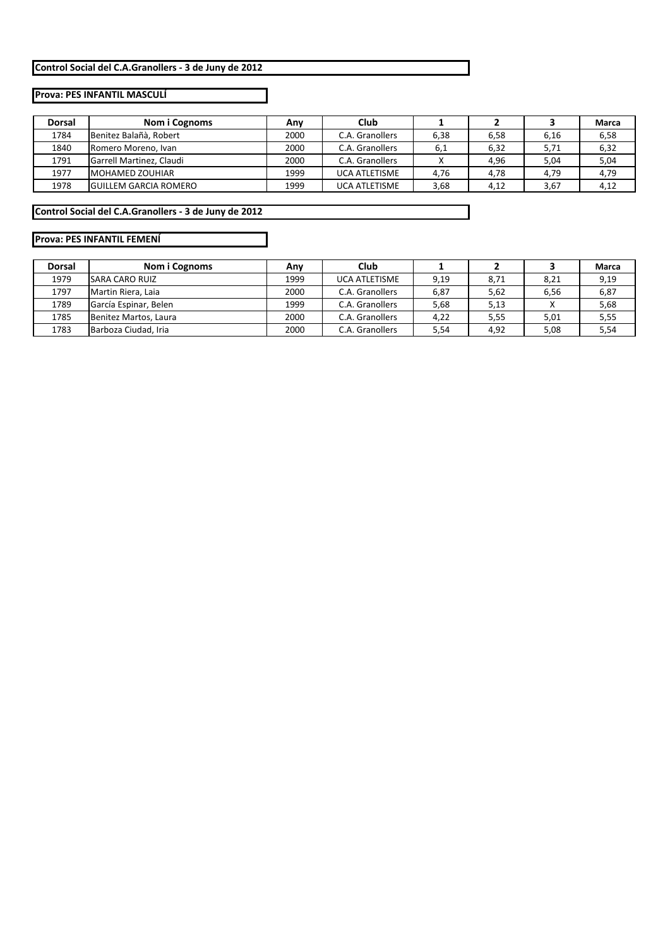# **Prova: PES INFANTIL MASCULÍ**

| <b>Dorsal</b> | Nom i Cognoms                | Club<br>Any |                      |      |      |      | Marca |
|---------------|------------------------------|-------------|----------------------|------|------|------|-------|
| 1784          | Benitez Balañà, Robert       | 2000        | C.A. Granollers      | 6,38 | 6,58 | 6,16 | 6,58  |
| 1840          | Romero Moreno, Ivan          | 2000        | C.A. Granollers      | 6,1  | 6,32 | 5,71 | 6,32  |
| 1791          | Garrell Martinez, Claudi     | 2000        | C.A. Granollers      |      | 4,96 | 5,04 | 5,04  |
| 1977          | <b>IMOHAMED ZOUHIAR</b>      | 1999        | <b>UCA ATLETISME</b> | 4.76 | 4,78 | 4,79 | 4,79  |
| 1978          | <b>GUILLEM GARCIA ROMERO</b> | 1999        | <b>UCA ATLETISME</b> | 3,68 | 4,12 | 3,67 | 4,12  |

**Control Social del C.A.Granollers ‐ 3 de Juny de 2012**

# **Prova: PES INFANTIL FEMENÍ**

| <b>Dorsal</b> | Nom i Cognoms         | Club<br>Any |                      |      |      |      | Marca |
|---------------|-----------------------|-------------|----------------------|------|------|------|-------|
| 1979          | <b>SARA CARO RUIZ</b> | 1999        | <b>UCA ATLETISME</b> | 9,19 | 8,71 | 8,21 | 9,19  |
| 1797          | Martin Riera, Laia    | 2000        | C.A. Granollers      | 6,87 | 5,62 | 6,56 | 6,87  |
| 1789          | García Espinar, Belen | 1999        | C.A. Granollers      | 5,68 | 5,13 |      | 5,68  |
| 1785          | Benitez Martos, Laura | 2000        | C.A. Granollers      | 4,22 | 5,55 | 5,01 | 5,55  |
| 1783          | Barboza Ciudad, Iria  | 2000        | C.A. Granollers      | 5,54 | 4,92 | 5,08 | 5,54  |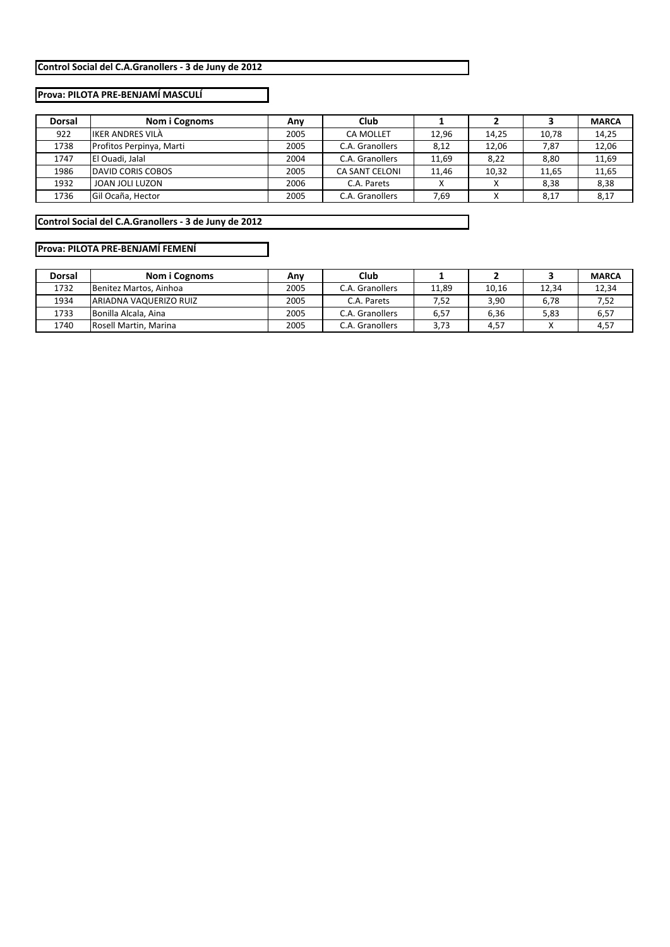#### **Prova: PILOTA PRE‐BENJAMÍ MASCULÍ**

| <b>Dorsal</b> | Nom i Cognoms            | Any  | <b>Club</b>           |       |           |       | <b>MARCA</b> |
|---------------|--------------------------|------|-----------------------|-------|-----------|-------|--------------|
| 922           | <b>IKER ANDRES VILA</b>  | 2005 | <b>CA MOLLET</b>      | 12.96 | 14.25     | 10.78 | 14,25        |
| 1738          | Profitos Perpinya, Marti | 2005 | C.A. Granollers       | 8,12  | 12.06     | 7,87  | 12,06        |
| 1747          | El Ouadi, Jalal          | 2004 | C.A. Granollers       | 11,69 | 8,22      | 8,80  | 11,69        |
| 1986          | <b>DAVID CORIS COBOS</b> | 2005 | <b>CA SANT CELONI</b> | 11.46 | 10.32     | 11.65 | 11,65        |
| 1932          | JOAN JOLI LUZON          | 2006 | C.A. Parets           |       |           | 8,38  | 8,38         |
| 1736          | Gil Ocaña, Hector        | 2005 | C.A. Granollers       | 7,69  | $\lambda$ | 8,17  | 8,17         |

**Control Social del C.A.Granollers ‐ 3 de Juny de 2012**

## **Prova: PILOTA PRE‐BENJAMÍ FEMENÍ**

| <b>Dorsal</b> | Nom i Cognoms           | Club<br>Anv |                 |       |       |       | <b>MARCA</b> |
|---------------|-------------------------|-------------|-----------------|-------|-------|-------|--------------|
| 1732          | Benitez Martos, Ainhoa  | 2005        | C.A. Granollers | 11,89 | 10,16 | 12.34 | 12,34        |
| 1934          | IARIADNA VAQUERIZO RUIZ | 2005        | C.A. Parets     | 7,52  | 3,90  | 6,78  | 7,52         |
| 1733          | Bonilla Alcala, Aina    | 2005        | C.A. Granollers | 6,57  | 6.36  | 5,83  | 6,57         |
| 1740          | Rosell Martin, Marina   | 2005        | C.A. Granollers | 3.73  | 4,57  |       | 4,57         |